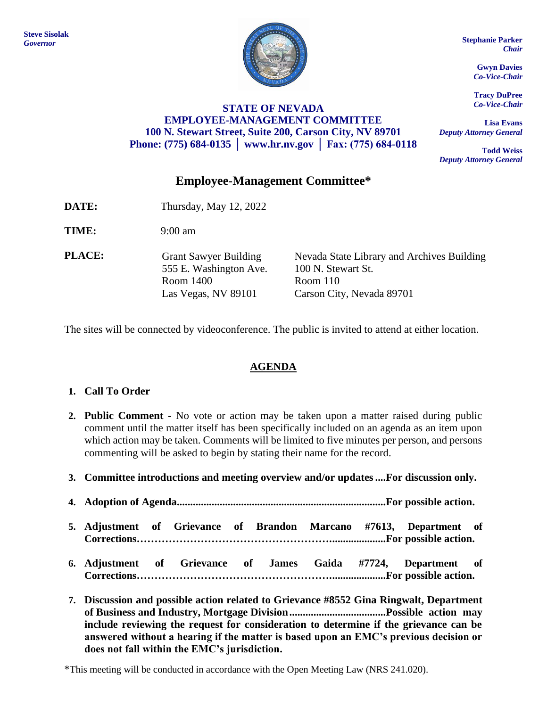

#### **STATE OF NEVADA EMPLOYEE-MANAGEMENT COMMITTEE 100 N. Stewart Street, Suite 200, Carson City, NV 89701 Phone: (775) 684-0135 │ [www.hr.nv.gov](http://www.hr.nv.gov/) │ Fax: (775) 684-0118**

*Chair*

**Gwyn Davies** *Co-Vice-Chair*

**Tracy DuPree** *Co-Vice-Chair*

**Lisa Evans** *Deputy Attorney General*

**Todd Weiss** *Deputy Attorney General*

# **Employee-Management Committee\***

- **DATE:** Thursday, May 12, 2022
- **TIME:** 9:00 am
- **PLACE:** Grant Sawyer Building 555 E. Washington Ave. Room 1400 Las Vegas, NV 89101

Nevada State Library and Archives Building 100 N. Stewart St. Room 110 Carson City, Nevada 89701

The sites will be connected by videoconference. The public is invited to attend at either location.

## **AGENDA**

### **1. Call To Order**

- **2. Public Comment -** No vote or action may be taken upon a matter raised during public comment until the matter itself has been specifically included on an agenda as an item upon which action may be taken. Comments will be limited to five minutes per person, and persons commenting will be asked to begin by stating their name for the record.
- **3. Committee introductions and meeting overview and/or updates....For discussion only.**
- **4. Adoption of Agenda..............................................................................For possible action.**
- **5. Adjustment of Grievance of Brandon Marcano #7613, Department of Corrections……………………………………………….....................For possible action.**
- **6. Adjustment of Grievance of James Gaida #7724, Department of Corrections……………………………………………….....................For possible action.**
- **7. Discussion and possible action related to Grievance #8552 Gina Ringwalt, Department of Business and Industry, Mortgage Division....................................Possible action may include reviewing the request for consideration to determine if the grievance can be answered without a hearing if the matter is based upon an EMC's previous decision or does not fall within the EMC's jurisdiction.**

\*This meeting will be conducted in accordance with the Open Meeting Law (NRS 241.020).